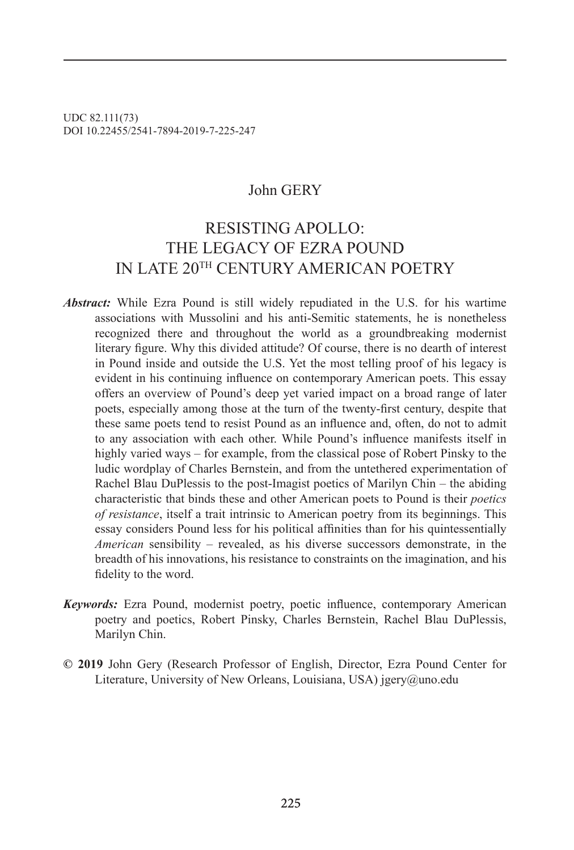UDC 82.111(73) DOI 10.22455/2541-7894-2019-7-225-247

### John GERY

## RESISTING APOLLO: THE LEGACY OF EZRA POUND IN LATE 20TH CENTURY AMERICAN POETRY

- *Abstract:* While Ezra Pound is still widely repudiated in the U.S. for his wartime associations with Mussolini and his anti-Semitic statements, he is nonetheless recognized there and throughout the world as a groundbreaking modernist literary figure. Why this divided attitude? Of course, there is no dearth of interest in Pound inside and outside the U.S. Yet the most telling proof of his legacy is evident in his continuing influence on contemporary American poets. This essay offers an overview of Pound's deep yet varied impact on a broad range of later poets, especially among those at the turn of the twenty-first century, despite that these same poets tend to resist Pound as an influence and, often, do not to admit to any association with each other. While Pound's influence manifests itself in highly varied ways – for example, from the classical pose of Robert Pinsky to the ludic wordplay of Charles Bernstein, and from the untethered experimentation of Rachel Blau DuPlessis to the post-Imagist poetics of Marilyn Chin – the abiding characteristic that binds these and other American poets to Pound is their *poetics of resistance*, itself a trait intrinsic to American poetry from its beginnings. This essay considers Pound less for his political affinities than for his quintessentially *American* sensibility – revealed, as his diverse successors demonstrate, in the breadth of his innovations, his resistance to constraints on the imagination, and his fidelity to the word.
- *Keywords:* Ezra Pound, modernist poetry, poetic influence, contemporary American poetry and poetics, Robert Pinsky, Charles Bernstein, Rachel Blau DuPlessis, Marilyn Chin.
- **© 2019** John Gery (Research Professor of English, Director, Ezra Pound Center for Literature, University of New Orleans, Louisiana, USA) jgery@uno.edu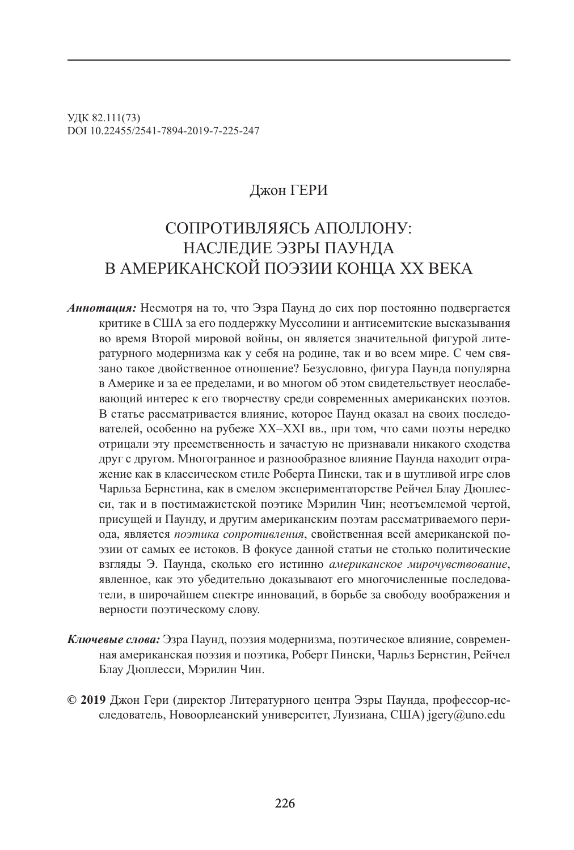УДК 82.111(73) DOI 10.22455/2541-7894-2019-7-225-247

### Джон ГЕРИ

# СОПРОТИВЛЯЯСЬ АПОЛЛОНУ: НАСЛЕДИЕ ЭЗРЫ ПАУНДА В АМЕРИКАНСКОЙ ПОЭЗИИ КОНЦА XX ВЕКА

- *Аннотация:* Несмотря на то, что Эзра Паунд до сих пор постоянно подвергается критике в США за его поддержку Муссолини и антисемитские высказывания во время Второй мировой войны, он является значительной фигурой литературного модернизма как у себя на родине, так и во всем мире. С чем связано такое двойственное отношение? Безусловно, фигура Паунда популярна в Америке и за ее пределами, и во многом об этом свидетельствует неослабевающий интерес к его творчеству среди современных американских поэтов. В статье рассматривается влияние, которое Паунд оказал на своих последователей, особенно на рубеже XX–XXI вв., при том, что сами поэты нередко отрицали эту преемственность и зачастую не признавали никакого сходства друг с другом. Многогранное и разнообразное влияние Паунда находит отражение как в классическом стиле Роберта Пински, так и в шутливой игре слов Чарльза Бернстина, как в смелом экспериментаторстве Рейчел Блау Дюплесси, так и в постимажистской поэтике Мэрилин Чин; неотъемлемой чертой, присущей и Паунду, и другим американским поэтам рассматриваемого периода, является *поэтика сопротивления*, свойственная всей американской поэзии от самых ее истоков. В фокусе данной статьи не столько политические взгляды Э. Паунда, сколько его истинно *американское мирочувствование*, явленное, как это убедительно доказывают его многочисленные последователи, в широчайшем спектре инноваций, в борьбе за свободу воображения и верности поэтическому слову.
- *Ключевые слова:* Эзра Паунд, поэзия модернизма, поэтическое влияние, современная американская поэзия и поэтика, Роберт Пински, Чарльз Бернстин, Рейчел Блау Дюплесси, Мэрилин Чин.
- **© 2019** Джон Гери (директор Литературного центра Эзры Паунда, профессор-исследователь, Новоорлеанский университет, Луизиана, США) jgery@uno.edu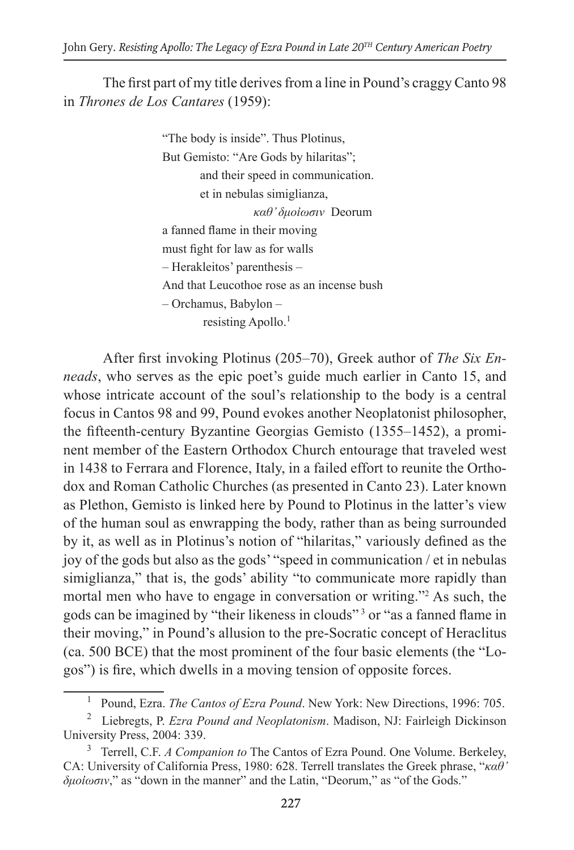The first part of my title derives from a line in Pound's craggy Canto 98 in *Thrones de Los Cantares* (1959):

> "The body is inside". Thus Plotinus, But Gemisto: "Are Gods by hilaritas"; and their speed in communication. et in nebulas simiglianza, *καθ' δμοἰωσιν* Deorum a fanned flame in their moving must fight for law as for walls – Herakleitos' parenthesis – And that Leucothoe rose as an incense bush – Orchamus, Babylon – resisting Apollo.<sup>1</sup>

After first invoking Plotinus (205–70), Greek author of *The Six Enneads*, who serves as the epic poet's guide much earlier in Canto 15, and whose intricate account of the soul's relationship to the body is a central focus in Cantos 98 and 99, Pound evokes another Neoplatonist philosopher, the fifteenth-century Byzantine Georgias Gemisto (1355–1452), a prominent member of the Eastern Orthodox Church entourage that traveled west in 1438 to Ferrara and Florence, Italy, in a failed effort to reunite the Orthodox and Roman Catholic Churches (as presented in Canto 23). Later known as Plethon, Gemisto is linked here by Pound to Plotinus in the latter's view of the human soul as enwrapping the body, rather than as being surrounded by it, as well as in Plotinus's notion of "hilaritas," variously defined as the joy of the gods but also as the gods' "speed in communication / et in nebulas simiglianza," that is, the gods' ability "to communicate more rapidly than mortal men who have to engage in conversation or writing."2 As such, the gods can be imagined by "their likeness in clouds" <sup>3</sup> or "as a fanned flame in their moving," in Pound's allusion to the pre-Socratic concept of Heraclitus (ca. 500 BCE) that the most prominent of the four basic elements (the "Logos") is fire, which dwells in a moving tension of opposite forces.

<sup>&</sup>lt;sup>1</sup> Pound, Ezra. *The Cantos of Ezra Pound*. New York: New Directions, 1996: 705.

<sup>2</sup> Liebregts, P. *Ezra Pound and Neoplatonism*. Madison, NJ: Fairleigh Dickinson University Press, 2004: 339.

<sup>3</sup> Terrell, C.F. *A Companion to* The Cantos of Ezra Pound. One Volume. Berkeley, CA: University of California Press, 1980: 628. Terrell translates the Greek phrase, "*καθ' δμοἰωσιν*," as "down in the manner" and the Latin, "Deorum," as "of the Gods."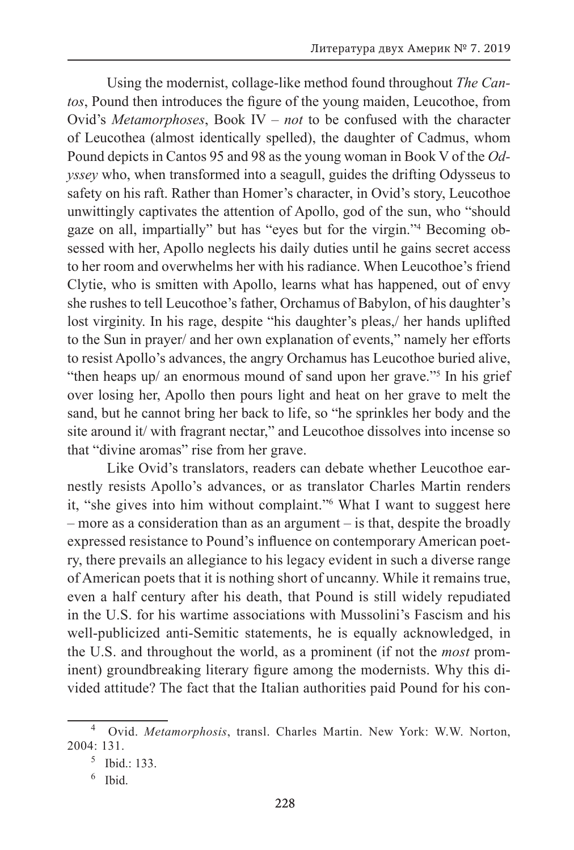Using the modernist, collage-like method found throughout *The Cantos*, Pound then introduces the figure of the young maiden, Leucothoe, from Ovid's *Metamorphoses*, Book IV – *not* to be confused with the character of Leucothea (almost identically spelled), the daughter of Cadmus, whom Pound depicts in Cantos 95 and 98 as the young woman in Book V of the *Odyssey* who, when transformed into a seagull, guides the drifting Odysseus to safety on his raft. Rather than Homer's character, in Ovid's story, Leucothoe unwittingly captivates the attention of Apollo, god of the sun, who "should gaze on all, impartially" but has "eyes but for the virgin."4 Becoming obsessed with her, Apollo neglects his daily duties until he gains secret access to her room and overwhelms her with his radiance. When Leucothoe's friend Clytie, who is smitten with Apollo, learns what has happened, out of envy she rushes to tell Leucothoe's father, Orchamus of Babylon, of his daughter's lost virginity. In his rage, despite "his daughter's pleas,/ her hands uplifted to the Sun in prayer/ and her own explanation of events," namely her efforts to resist Apollo's advances, the angry Orchamus has Leucothoe buried alive, "then heaps up/ an enormous mound of sand upon her grave."5 In his grief over losing her, Apollo then pours light and heat on her grave to melt the sand, but he cannot bring her back to life, so "he sprinkles her body and the site around it/ with fragrant nectar," and Leucothoe dissolves into incense so that "divine aromas" rise from her grave.

Like Ovid's translators, readers can debate whether Leucothoe earnestly resists Apollo's advances, or as translator Charles Martin renders it, "she gives into him without complaint."6 What I want to suggest here – more as a consideration than as an argument – is that, despite the broadly expressed resistance to Pound's influence on contemporary American poetry, there prevails an allegiance to his legacy evident in such a diverse range of American poets that it is nothing short of uncanny. While it remains true, even a half century after his death, that Pound is still widely repudiated in the U.S. for his wartime associations with Mussolini's Fascism and his well-publicized anti-Semitic statements, he is equally acknowledged, in the U.S. and throughout the world, as a prominent (if not the *most* prominent) groundbreaking literary figure among the modernists. Why this divided attitude? The fact that the Italian authorities paid Pound for his con-

<sup>4</sup> Ovid. *Metamorphosis*, transl. Charles Martin. New York: W.W. Norton,  $2004 \cdot 131$ 

<sup>5</sup> Ibid.: 133.

Ibid.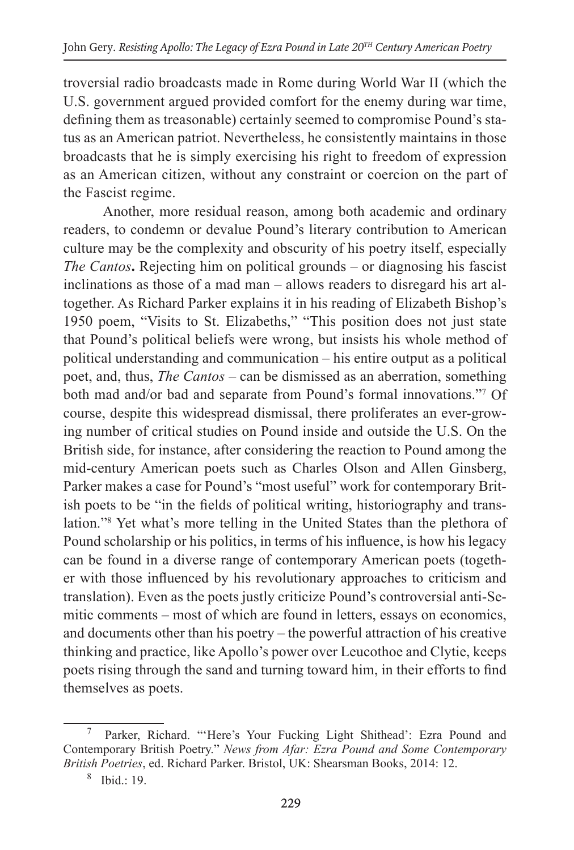troversial radio broadcasts made in Rome during World War II (which the U.S. government argued provided comfort for the enemy during war time, defining them as treasonable) certainly seemed to compromise Pound's status as an American patriot. Nevertheless, he consistently maintains in those broadcasts that he is simply exercising his right to freedom of expression as an American citizen, without any constraint or coercion on the part of the Fascist regime.

Another, more residual reason, among both academic and ordinary readers, to condemn or devalue Pound's literary contribution to American culture may be the complexity and obscurity of his poetry itself, especially *The Cantos***.** Rejecting him on political grounds – or diagnosing his fascist inclinations as those of a mad man – allows readers to disregard his art altogether. As Richard Parker explains it in his reading of Elizabeth Bishop's 1950 poem, "Visits to St. Elizabeths," "This position does not just state that Pound's political beliefs were wrong, but insists his whole method of political understanding and communication – his entire output as a political poet, and, thus, *The Cantos* – can be dismissed as an aberration, something both mad and/or bad and separate from Pound's formal innovations."7 Of course, despite this widespread dismissal, there proliferates an ever-growing number of critical studies on Pound inside and outside the U.S. On the British side, for instance, after considering the reaction to Pound among the mid-century American poets such as Charles Olson and Allen Ginsberg, Parker makes a case for Pound's "most useful" work for contemporary British poets to be "in the fields of political writing, historiography and translation."8 Yet what's more telling in the United States than the plethora of Pound scholarship or his politics, in terms of his influence, is how his legacy can be found in a diverse range of contemporary American poets (together with those influenced by his revolutionary approaches to criticism and translation). Even as the poets justly criticize Pound's controversial anti-Semitic comments – most of which are found in letters, essays on economics, and documents other than his poetry – the powerful attraction of his creative thinking and practice, like Apollo's power over Leucothoe and Clytie, keeps poets rising through the sand and turning toward him, in their efforts to find themselves as poets.

<sup>7</sup> Parker, Richard. "'Here's Your Fucking Light Shithead': Ezra Pound and Contemporary British Poetry." *News from Afar: Ezra Pound and Some Contemporary British Poetries*, ed. Richard Parker. Bristol, UK: Shearsman Books, 2014: 12. 8 Ibid.: 19.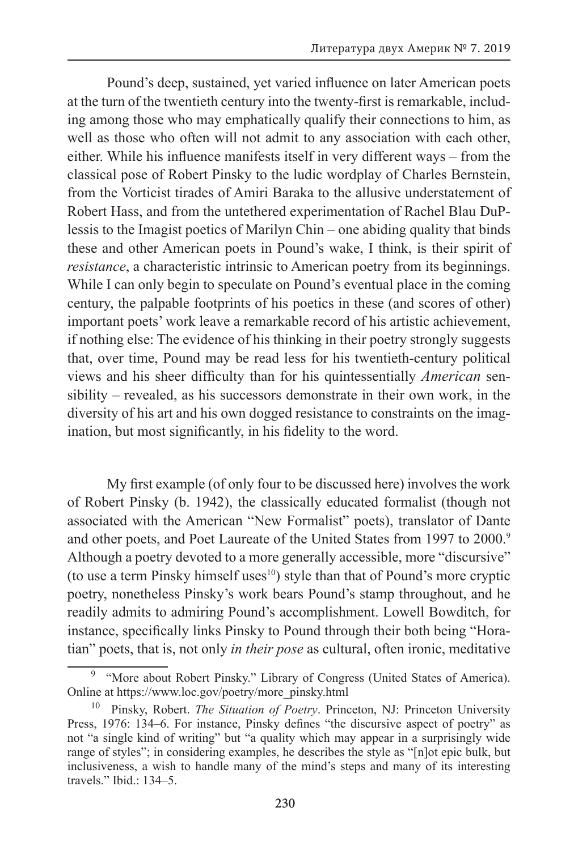Pound's deep, sustained, yet varied influence on later American poets at the turn of the twentieth century into the twenty-first is remarkable, including among those who may emphatically qualify their connections to him, as well as those who often will not admit to any association with each other, either. While his influence manifests itself in very different ways – from the classical pose of Robert Pinsky to the ludic wordplay of Charles Bernstein, from the Vorticist tirades of Amiri Baraka to the allusive understatement of Robert Hass, and from the untethered experimentation of Rachel Blau DuPlessis to the Imagist poetics of Marilyn Chin – one abiding quality that binds these and other American poets in Pound's wake, I think, is their spirit of *resistance*, a characteristic intrinsic to American poetry from its beginnings. While I can only begin to speculate on Pound's eventual place in the coming century, the palpable footprints of his poetics in these (and scores of other) important poets' work leave a remarkable record of his artistic achievement, if nothing else: The evidence of his thinking in their poetry strongly suggests that, over time, Pound may be read less for his twentieth-century political views and his sheer difficulty than for his quintessentially *American* sensibility – revealed, as his successors demonstrate in their own work, in the diversity of his art and his own dogged resistance to constraints on the imagination, but most significantly, in his fidelity to the word.

My first example (of only four to be discussed here) involves the work of Robert Pinsky (b. 1942), the classically educated formalist (though not associated with the American "New Formalist" poets), translator of Dante and other poets, and Poet Laureate of the United States from 1997 to 2000.<sup>9</sup> Although a poetry devoted to a more generally accessible, more "discursive" (to use a term Pinsky himself uses $10$ ) style than that of Pound's more cryptic poetry, nonetheless Pinsky's work bears Pound's stamp throughout, and he readily admits to admiring Pound's accomplishment. Lowell Bowditch, for instance, specifically links Pinsky to Pound through their both being "Horatian" poets, that is, not only *in their pose* as cultural, often ironic, meditative

<sup>&</sup>lt;sup>9</sup> "More about Robert Pinsky." Library of Congress (United States of America). Online at https://www.loc.gov/poetry/more\_pinsky.html

<sup>10</sup> Pinsky, Robert. *The Situation of Poetry*. Princeton, NJ: Princeton University Press, 1976: 134–6. For instance, Pinsky defines "the discursive aspect of poetry" as not "a single kind of writing" but "a quality which may appear in a surprisingly wide range of styles"; in considering examples, he describes the style as "[n]ot epic bulk, but inclusiveness, a wish to handle many of the mind's steps and many of its interesting travels." Ibid.: 134–5.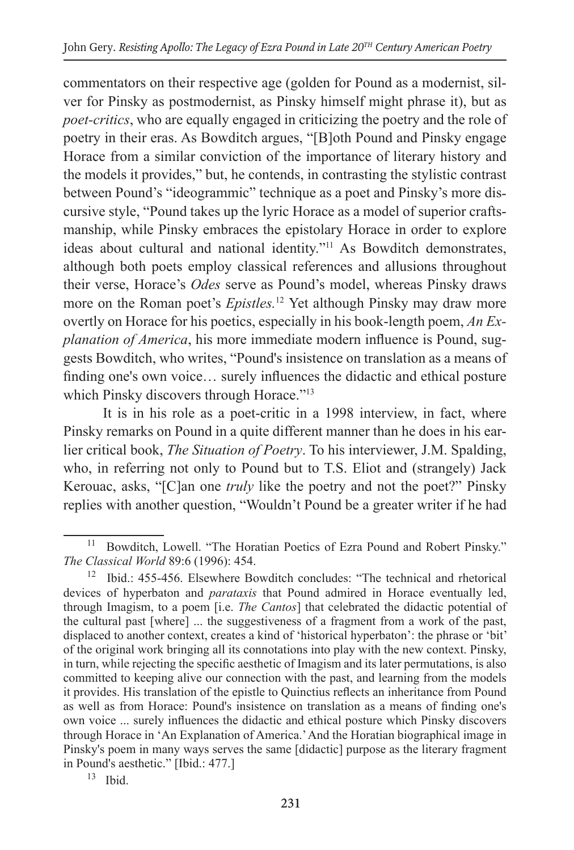commentators on their respective age (golden for Pound as a modernist, silver for Pinsky as postmodernist, as Pinsky himself might phrase it), but as *poet-critics*, who are equally engaged in criticizing the poetry and the role of poetry in their eras. As Bowditch argues, "[B]oth Pound and Pinsky engage Horace from a similar conviction of the importance of literary history and the models it provides," but, he contends, in contrasting the stylistic contrast between Pound's "ideogrammic" technique as a poet and Pinsky's more discursive style, "Pound takes up the lyric Horace as a model of superior craftsmanship, while Pinsky embraces the epistolary Horace in order to explore ideas about cultural and national identity."11 As Bowditch demonstrates, although both poets employ classical references and allusions throughout their verse, Horace's *Odes* serve as Pound's model, whereas Pinsky draws more on the Roman poet's *Epistles.*<sup>12</sup> Yet although Pinsky may draw more overtly on Horace for his poetics, especially in his book-length poem, *An Explanation of America*, his more immediate modern influence is Pound, suggests Bowditch, who writes, "Pound's insistence on translation as a means of finding one's own voice… surely influences the didactic and ethical posture which Pinsky discovers through Horace."<sup>13</sup>

It is in his role as a poet-critic in a 1998 interview, in fact, where Pinsky remarks on Pound in a quite different manner than he does in his earlier critical book, *The Situation of Poetry*. To his interviewer, J.M. Spalding, who, in referring not only to Pound but to T.S. Eliot and (strangely) Jack Kerouac, asks, "[C]an one *truly* like the poetry and not the poet?" Pinsky replies with another question, "Wouldn't Pound be a greater writer if he had

Bowditch, Lowell. "The Horatian Poetics of Ezra Pound and Robert Pinsky." *The Classical World* 89:6 (1996): 454.

<sup>12</sup> Ibid.: 455-456. Elsewhere Bowditch concludes: "The technical and rhetorical devices of hyperbaton and *parataxis* that Pound admired in Horace eventually led, through Imagism, to a poem [i.e. *The Cantos*] that celebrated the didactic potential of the cultural past [where] ... the suggestiveness of a fragment from a work of the past, displaced to another context, creates a kind of 'historical hyperbaton': the phrase or 'bit' of the original work bringing all its connotations into play with the new context. Pinsky, in turn, while rejecting the specific aesthetic of Imagism and its later permutations, is also committed to keeping alive our connection with the past, and learning from the models it provides. His translation of the epistle to Quinctius reflects an inheritance from Pound as well as from Horace: Pound's insistence on translation as a means of finding one's own voice ... surely influences the didactic and ethical posture which Pinsky discovers through Horace in 'An Explanation of America.' And the Horatian biographical image in Pinsky's poem in many ways serves the same [didactic] purpose as the literary fragment in Pound's aesthetic." [Ibid.: 477.] 13 Ibid.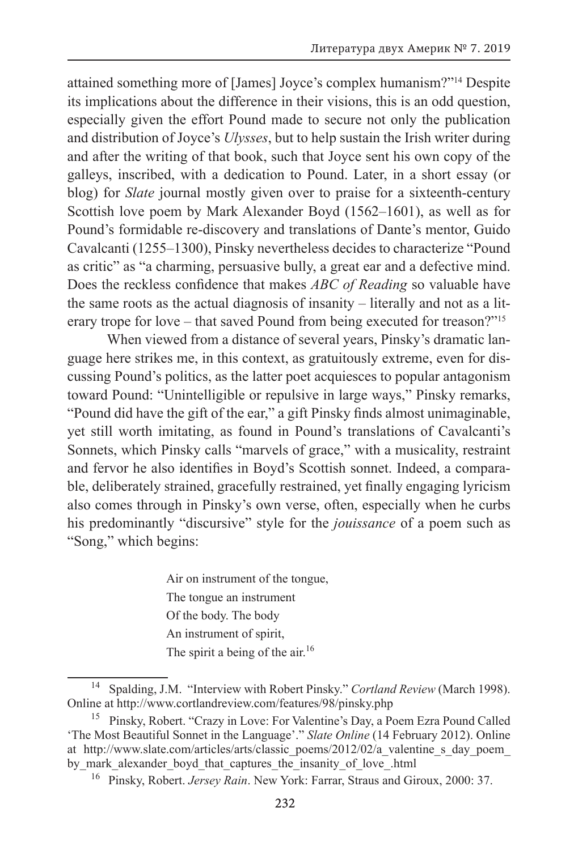attained something more of [James] Joyce's complex humanism?"14 Despite its implications about the difference in their visions, this is an odd question, especially given the effort Pound made to secure not only the publication and distribution of Joyce's *Ulysses*, but to help sustain the Irish writer during and after the writing of that book, such that Joyce sent his own copy of the galleys, inscribed, with a dedication to Pound. Later, in a short essay (or blog) for *Slate* journal mostly given over to praise for a sixteenth-century Scottish love poem by Mark Alexander Boyd (1562–1601), as well as for Pound's formidable re-discovery and translations of Dante's mentor, Guido Cavalcanti (1255–1300), Pinsky nevertheless decides to characterize "Pound as critic" as "a charming, persuasive bully, a great ear and a defective mind. Does the reckless confidence that makes *ABC of Reading* so valuable have the same roots as the actual diagnosis of insanity – literally and not as a literary trope for love – that saved Pound from being executed for treason?"15

When viewed from a distance of several years, Pinsky's dramatic language here strikes me, in this context, as gratuitously extreme, even for discussing Pound's politics, as the latter poet acquiesces to popular antagonism toward Pound: "Unintelligible or repulsive in large ways," Pinsky remarks, "Pound did have the gift of the ear," a gift Pinsky finds almost unimaginable, yet still worth imitating, as found in Pound's translations of Cavalcanti's Sonnets, which Pinsky calls "marvels of grace," with a musicality, restraint and fervor he also identifies in Boyd's Scottish sonnet. Indeed, a comparable, deliberately strained, gracefully restrained, yet finally engaging lyricism also comes through in Pinsky's own verse, often, especially when he curbs his predominantly "discursive" style for the *jouissance* of a poem such as "Song," which begins:

> Air on instrument of the tongue, The tongue an instrument Of the body. The body An instrument of spirit, The spirit a being of the air.<sup>16</sup>

<sup>14</sup> Spalding, J.M. "Interview with Robert Pinsky." *Cortland Review* (March 1998). Online at http://www.cortlandreview.com/features/98/pinsky.php

<sup>&</sup>lt;sup>15</sup> Pinsky, Robert. "Crazy in Love: For Valentine's Day, a Poem Ezra Pound Called 'The Most Beautiful Sonnet in the Language'." *Slate Online* (14 February 2012). Online at http://www.slate.com/articles/arts/classic\_poems/2012/02/a\_valentine\_s\_day\_poem by mark alexander boyd\_that\_captures\_the\_insanity\_of\_love\_.html

<sup>16</sup> Pinsky, Robert. *Jersey Rain*. New York: Farrar, Straus and Giroux, 2000: 37.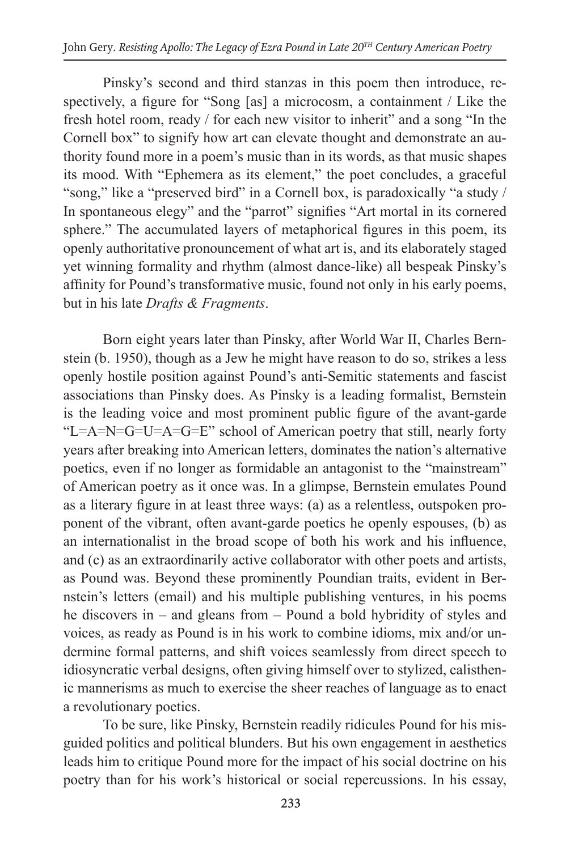Pinsky's second and third stanzas in this poem then introduce, respectively, a figure for "Song [as] a microcosm, a containment / Like the fresh hotel room, ready / for each new visitor to inherit" and a song "In the Cornell box" to signify how art can elevate thought and demonstrate an authority found more in a poem's music than in its words, as that music shapes its mood. With "Ephemera as its element," the poet concludes, a graceful "song," like a "preserved bird" in a Cornell box, is paradoxically "a study / In spontaneous elegy" and the "parrot" signifies "Art mortal in its cornered sphere." The accumulated layers of metaphorical figures in this poem, its openly authoritative pronouncement of what art is, and its elaborately staged yet winning formality and rhythm (almost dance-like) all bespeak Pinsky's affinity for Pound's transformative music, found not only in his early poems, but in his late *Drafts & Fragments*.

Born eight years later than Pinsky, after World War II, Charles Bernstein (b. 1950), though as a Jew he might have reason to do so, strikes a less openly hostile position against Pound's anti-Semitic statements and fascist associations than Pinsky does. As Pinsky is a leading formalist, Bernstein is the leading voice and most prominent public figure of the avant-garde "L=A=N=G=U=A=G=E" school of American poetry that still, nearly forty years after breaking into American letters, dominates the nation's alternative poetics, even if no longer as formidable an antagonist to the "mainstream" of American poetry as it once was. In a glimpse, Bernstein emulates Pound as a literary figure in at least three ways: (a) as a relentless, outspoken proponent of the vibrant, often avant-garde poetics he openly espouses, (b) as an internationalist in the broad scope of both his work and his influence, and (c) as an extraordinarily active collaborator with other poets and artists, as Pound was. Beyond these prominently Poundian traits, evident in Bernstein's letters (email) and his multiple publishing ventures, in his poems he discovers in – and gleans from – Pound a bold hybridity of styles and voices, as ready as Pound is in his work to combine idioms, mix and/or undermine formal patterns, and shift voices seamlessly from direct speech to idiosyncratic verbal designs, often giving himself over to stylized, calisthenic mannerisms as much to exercise the sheer reaches of language as to enact a revolutionary poetics.

To be sure, like Pinsky, Bernstein readily ridicules Pound for his misguided politics and political blunders. But his own engagement in aesthetics leads him to critique Pound more for the impact of his social doctrine on his poetry than for his work's historical or social repercussions. In his essay,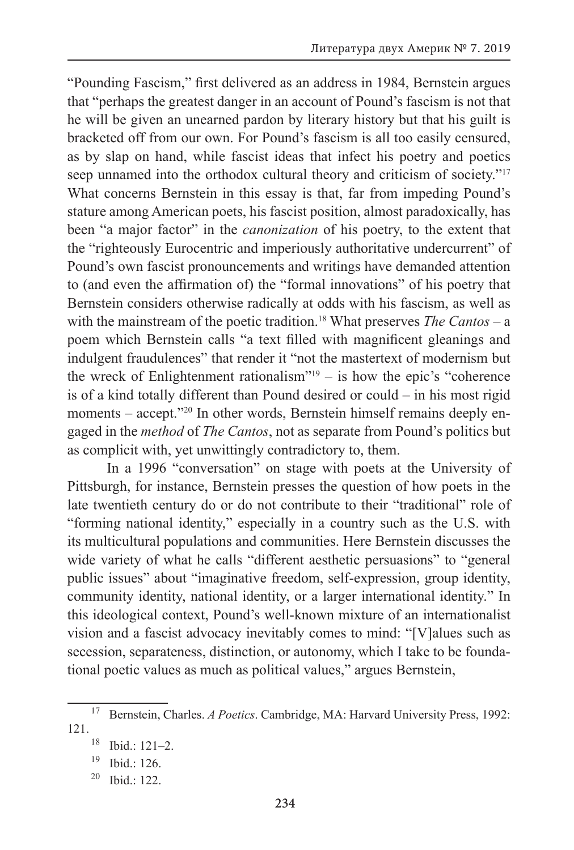"Pounding Fascism," first delivered as an address in 1984, Bernstein argues that "perhaps the greatest danger in an account of Pound's fascism is not that he will be given an unearned pardon by literary history but that his guilt is bracketed off from our own. For Pound's fascism is all too easily censured, as by slap on hand, while fascist ideas that infect his poetry and poetics seep unnamed into the orthodox cultural theory and criticism of society."<sup>17</sup> What concerns Bernstein in this essay is that, far from impeding Pound's stature among American poets, his fascist position, almost paradoxically, has been "a major factor" in the *canonization* of his poetry, to the extent that the "righteously Eurocentric and imperiously authoritative undercurrent" of Pound's own fascist pronouncements and writings have demanded attention to (and even the affirmation of) the "formal innovations" of his poetry that Bernstein considers otherwise radically at odds with his fascism, as well as with the mainstream of the poetic tradition.<sup>18</sup> What preserves *The Cantos – a* poem which Bernstein calls "a text filled with magnificent gleanings and indulgent fraudulences" that render it "not the mastertext of modernism but the wreck of Enlightenment rationalism"19 – is how the epic's "coherence is of a kind totally different than Pound desired or could – in his most rigid moments – accept."<sup>20</sup> In other words, Bernstein himself remains deeply engaged in the *method* of *The Cantos*, not as separate from Pound's politics but as complicit with, yet unwittingly contradictory to, them.

In a 1996 "conversation" on stage with poets at the University of Pittsburgh, for instance, Bernstein presses the question of how poets in the late twentieth century do or do not contribute to their "traditional" role of "forming national identity," especially in a country such as the U.S. with its multicultural populations and communities. Here Bernstein discusses the wide variety of what he calls "different aesthetic persuasions" to "general public issues" about "imaginative freedom, self-expression, group identity, community identity, national identity, or a larger international identity." In this ideological context, Pound's well-known mixture of an internationalist vision and a fascist advocacy inevitably comes to mind: "[V]alues such as secession, separateness, distinction, or autonomy, which I take to be foundational poetic values as much as political values," argues Bernstein,

<sup>17</sup> Bernstein, Charles. *A Poetics*. Cambridge, MA: Harvard University Press, 1992: 121.

<sup>18</sup> Ibid.: 121–2.

<sup>19</sup> Ibid.: 126.

 $20$  Ibid.: 122.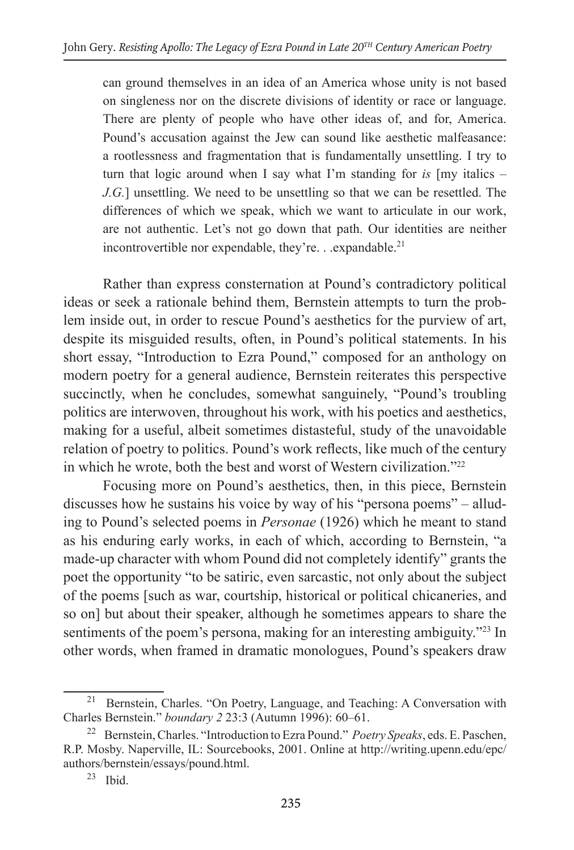can ground themselves in an idea of an America whose unity is not based on singleness nor on the discrete divisions of identity or race or language. There are plenty of people who have other ideas of, and for, America. Pound's accusation against the Jew can sound like aesthetic malfeasance: a rootlessness and fragmentation that is fundamentally unsettling. I try to turn that logic around when I say what I'm standing for *is* [my italics – *J.G.*] unsettling. We need to be unsettling so that we can be resettled. The differences of which we speak, which we want to articulate in our work, are not authentic. Let's not go down that path. Our identities are neither incontrovertible nor expendable, they're. . . expandable.<sup>21</sup>

Rather than express consternation at Pound's contradictory political ideas or seek a rationale behind them, Bernstein attempts to turn the problem inside out, in order to rescue Pound's aesthetics for the purview of art, despite its misguided results, often, in Pound's political statements. In his short essay, "Introduction to Ezra Pound," composed for an anthology on modern poetry for a general audience, Bernstein reiterates this perspective succinctly, when he concludes, somewhat sanguinely, "Pound's troubling politics are interwoven, throughout his work, with his poetics and aesthetics, making for a useful, albeit sometimes distasteful, study of the unavoidable relation of poetry to politics. Pound's work reflects, like much of the century in which he wrote, both the best and worst of Western civilization."22

Focusing more on Pound's aesthetics, then, in this piece, Bernstein discusses how he sustains his voice by way of his "persona poems" – alluding to Pound's selected poems in *Personae* (1926) which he meant to stand as his enduring early works, in each of which, according to Bernstein, "a made-up character with whom Pound did not completely identify" grants the poet the opportunity "to be satiric, even sarcastic, not only about the subject of the poems [such as war, courtship, historical or political chicaneries, and so on] but about their speaker, although he sometimes appears to share the sentiments of the poem's persona, making for an interesting ambiguity."<sup>23</sup> In other words, when framed in dramatic monologues, Pound's speakers draw

Bernstein, Charles. "On Poetry, Language, and Teaching: A Conversation with Charles Bernstein." *boundary 2* 23:3 (Autumn 1996): 60–61.

<sup>22</sup> Bernstein, Charles. "Introduction to Ezra Pound." *Poetry Speaks*, eds. E. Paschen, R.P. Mosby. Naperville, IL: Sourcebooks, 2001. Online at http://writing.upenn.edu/epc/ authors/bernstein/essays/pound.html.<br><sup>23</sup> Ibid.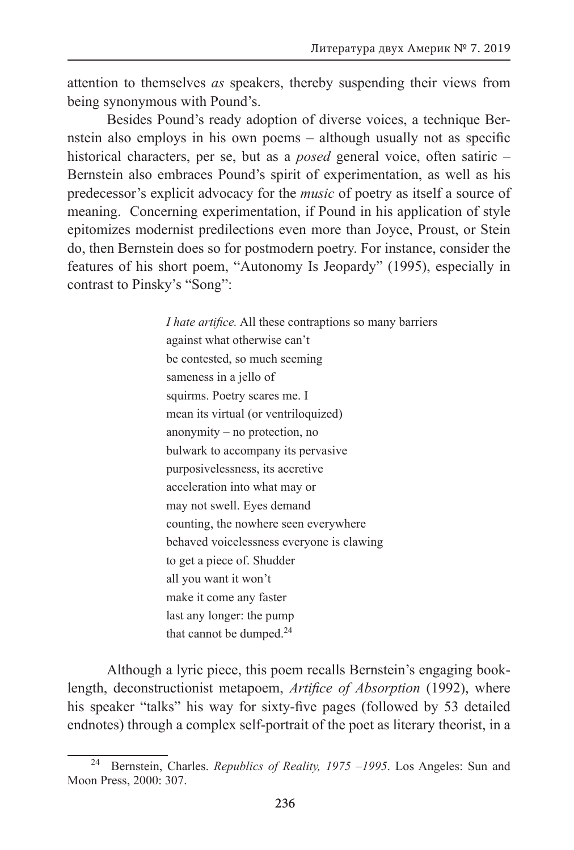attention to themselves *as* speakers, thereby suspending their views from being synonymous with Pound's.

Besides Pound's ready adoption of diverse voices, a technique Bernstein also employs in his own poems – although usually not as specific historical characters, per se, but as a *posed* general voice, often satiric – Bernstein also embraces Pound's spirit of experimentation, as well as his predecessor's explicit advocacy for the *music* of poetry as itself a source of meaning. Concerning experimentation, if Pound in his application of style epitomizes modernist predilections even more than Joyce, Proust, or Stein do, then Bernstein does so for postmodern poetry. For instance, consider the features of his short poem, "Autonomy Is Jeopardy" (1995), especially in contrast to Pinsky's "Song":

> *I hate artifice.* All these contraptions so many barriers against what otherwise can't be contested, so much seeming sameness in a jello of squirms. Poetry scares me. I mean its virtual (or ventriloquized) anonymity – no protection, no bulwark to accompany its pervasive purposivelessness, its accretive acceleration into what may or may not swell. Eyes demand counting, the nowhere seen everywhere behaved voicelessness everyone is clawing to get a piece of. Shudder all you want it won't make it come any faster last any longer: the pump that cannot be dumped. $24$

Although a lyric piece, this poem recalls Bernstein's engaging booklength, deconstructionist metapoem, *Artifice of Absorption* (1992), where his speaker "talks" his way for sixty-five pages (followed by 53 detailed endnotes) through a complex self-portrait of the poet as literary theorist, in a

<sup>24</sup> Bernstein, Charles. *Republics of Reality, 1975 –1995*. Los Angeles: Sun and Moon Press, 2000: 307.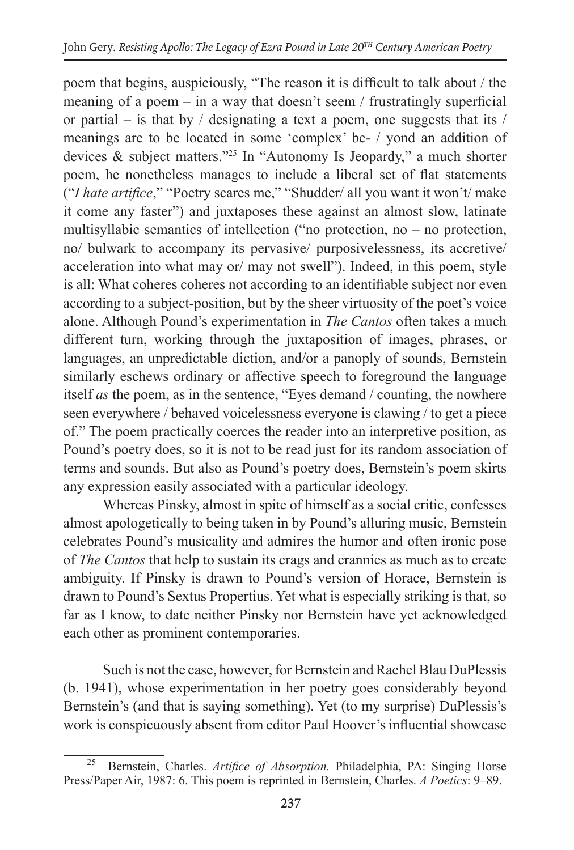poem that begins, auspiciously, "The reason it is difficult to talk about / the meaning of a poem – in a way that doesn't seem / frustratingly superficial or partial – is that by / designating a text a poem, one suggests that its / meanings are to be located in some 'complex' be- / yond an addition of devices & subject matters."25 In "Autonomy Is Jeopardy," a much shorter poem, he nonetheless manages to include a liberal set of flat statements ("*I hate artifice*," "Poetry scares me," "Shudder/ all you want it won't/ make it come any faster") and juxtaposes these against an almost slow, latinate multisyllabic semantics of intellection ("no protection, no – no protection, no/ bulwark to accompany its pervasive/ purposivelessness, its accretive/ acceleration into what may or/ may not swell"). Indeed, in this poem, style is all: What coheres coheres not according to an identifiable subject nor even according to a subject-position, but by the sheer virtuosity of the poet's voice alone. Although Pound's experimentation in *The Cantos* often takes a much different turn, working through the juxtaposition of images, phrases, or languages, an unpredictable diction, and/or a panoply of sounds, Bernstein similarly eschews ordinary or affective speech to foreground the language itself *as* the poem, as in the sentence, "Eyes demand / counting, the nowhere seen everywhere / behaved voicelessness everyone is clawing / to get a piece of." The poem practically coerces the reader into an interpretive position, as Pound's poetry does, so it is not to be read just for its random association of terms and sounds. But also as Pound's poetry does, Bernstein's poem skirts any expression easily associated with a particular ideology.

Whereas Pinsky, almost in spite of himself as a social critic, confesses almost apologetically to being taken in by Pound's alluring music, Bernstein celebrates Pound's musicality and admires the humor and often ironic pose of *The Cantos* that help to sustain its crags and crannies as much as to create ambiguity. If Pinsky is drawn to Pound's version of Horace, Bernstein is drawn to Pound's Sextus Propertius. Yet what is especially striking is that, so far as I know, to date neither Pinsky nor Bernstein have yet acknowledged each other as prominent contemporaries.

Such is not the case, however, for Bernstein and Rachel Blau DuPlessis (b. 1941), whose experimentation in her poetry goes considerably beyond Bernstein's (and that is saying something). Yet (to my surprise) DuPlessis's work is conspicuously absent from editor Paul Hoover's influential showcase

<sup>25</sup> Bernstein, Charles. *Artifice of Absorption.* Philadelphia, PA: Singing Horse Press/Paper Air, 1987: 6. This poem is reprinted in Bernstein, Charles. *A Poetics*: 9–89.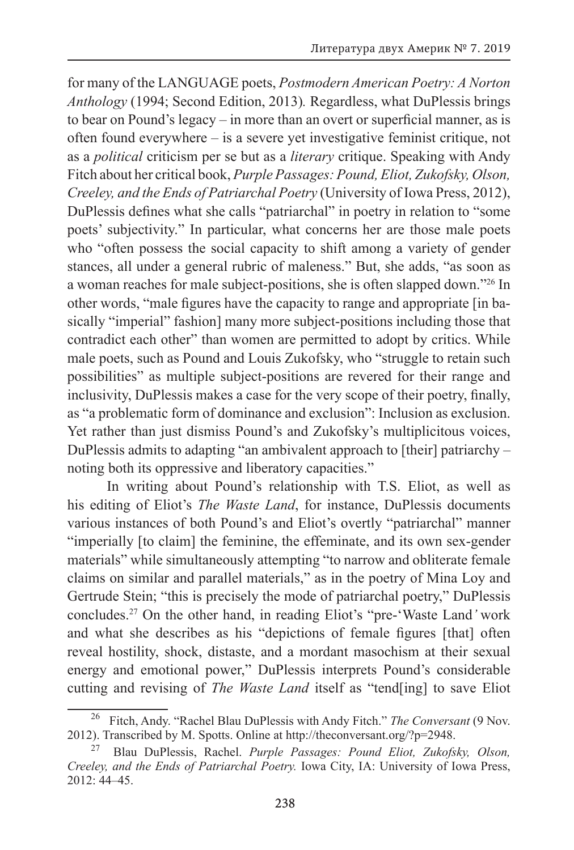for many of the LANGUAGE poets, *Postmodern American Poetry: A Norton Anthology* (1994; Second Edition, 2013)*.* Regardless, what DuPlessis brings to bear on Pound's legacy – in more than an overt or superficial manner, as is often found everywhere – is a severe yet investigative feminist critique, not as a *political* criticism per se but as a *literary* critique. Speaking with Andy Fitch about her critical book, *Purple Passages: Pound, Eliot, Zukofsky, Olson, Creeley, and the Ends of Patriarchal Poetry* (University of Iowa Press, 2012), DuPlessis defines what she calls "patriarchal" in poetry in relation to "some poets' subjectivity." In particular, what concerns her are those male poets who "often possess the social capacity to shift among a variety of gender stances, all under a general rubric of maleness." But, she adds, "as soon as a woman reaches for male subject-positions, she is often slapped down."26 In other words, "male figures have the capacity to range and appropriate [in basically "imperial" fashion] many more subject-positions including those that contradict each other" than women are permitted to adopt by critics. While male poets, such as Pound and Louis Zukofsky, who "struggle to retain such possibilities" as multiple subject-positions are revered for their range and inclusivity, DuPlessis makes a case for the very scope of their poetry, finally, as "a problematic form of dominance and exclusion": Inclusion as exclusion. Yet rather than just dismiss Pound's and Zukofsky's multiplicitous voices, DuPlessis admits to adapting "an ambivalent approach to [their] patriarchy – noting both its oppressive and liberatory capacities."

In writing about Pound's relationship with T.S. Eliot, as well as his editing of Eliot's *The Waste Land*, for instance, DuPlessis documents various instances of both Pound's and Eliot's overtly "patriarchal" manner "imperially [to claim] the feminine, the effeminate, and its own sex-gender materials" while simultaneously attempting "to narrow and obliterate female claims on similar and parallel materials," as in the poetry of Mina Loy and Gertrude Stein; "this is precisely the mode of patriarchal poetry," DuPlessis concludes.27 On the other hand, in reading Eliot's "pre-'Waste Land*'* work and what she describes as his "depictions of female figures [that] often reveal hostility, shock, distaste, and a mordant masochism at their sexual energy and emotional power," DuPlessis interprets Pound's considerable cutting and revising of *The Waste Land* itself as "tend[ing] to save Eliot

<sup>26</sup> Fitch, Andy. "Rachel Blau DuPlessis with Andy Fitch." *The Conversant* (9 Nov. 2012). Transcribed by M. Spotts. Online at http://theconversant.org/?p=2948.

<sup>27</sup> Blau DuPlessis, Rachel. *Purple Passages: Pound Eliot, Zukofsky, Olson, Creeley, and the Ends of Patriarchal Poetry.* Iowa City, IA: University of Iowa Press, 2012: 44–45.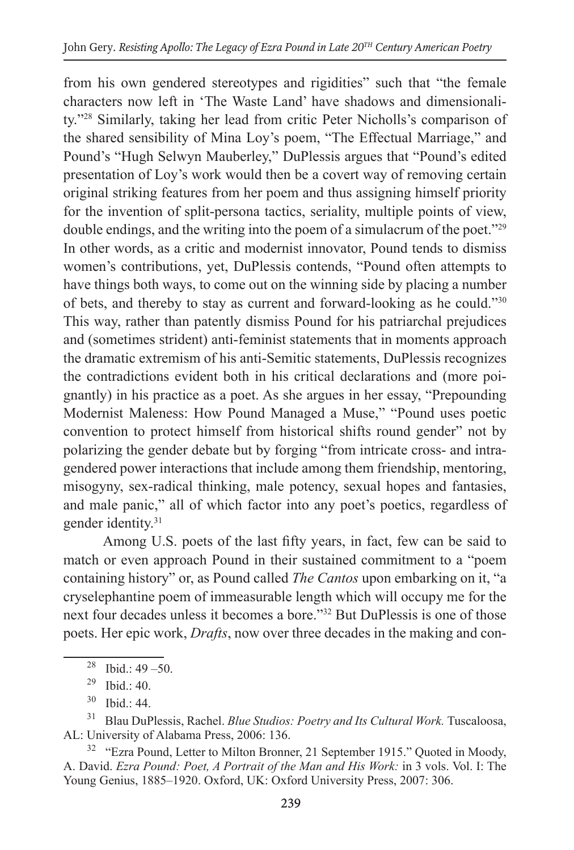from his own gendered stereotypes and rigidities" such that "the female characters now left in 'The Waste Land' have shadows and dimensionality."28 Similarly, taking her lead from critic Peter Nicholls's comparison of the shared sensibility of Mina Loy's poem, "The Effectual Marriage," and Pound's "Hugh Selwyn Mauberley," DuPlessis argues that "Pound's edited presentation of Loy's work would then be a covert way of removing certain original striking features from her poem and thus assigning himself priority for the invention of split-persona tactics, seriality, multiple points of view, double endings, and the writing into the poem of a simulacrum of the poet."29 In other words, as a critic and modernist innovator, Pound tends to dismiss women's contributions, yet, DuPlessis contends, "Pound often attempts to have things both ways, to come out on the winning side by placing a number of bets, and thereby to stay as current and forward-looking as he could."30 This way, rather than patently dismiss Pound for his patriarchal prejudices and (sometimes strident) anti-feminist statements that in moments approach the dramatic extremism of his anti-Semitic statements, DuPlessis recognizes the contradictions evident both in his critical declarations and (more poignantly) in his practice as a poet. As she argues in her essay, "Prepounding Modernist Maleness: How Pound Managed a Muse," "Pound uses poetic convention to protect himself from historical shifts round gender" not by polarizing the gender debate but by forging "from intricate cross- and intragendered power interactions that include among them friendship, mentoring, misogyny, sex-radical thinking, male potency, sexual hopes and fantasies, and male panic," all of which factor into any poet's poetics, regardless of gender identity.31

Among U.S. poets of the last fifty years, in fact, few can be said to match or even approach Pound in their sustained commitment to a "poem containing history" or, as Pound called *The Cantos* upon embarking on it, "a cryselephantine poem of immeasurable length which will occupy me for the next four decades unless it becomes a bore."32 But DuPlessis is one of those poets. Her epic work, *Drafts*, now over three decades in the making and con-

<sup>31</sup> Blau DuPlessis, Rachel. *Blue Studios: Poetry and Its Cultural Work*. Tuscaloosa, AL: University of Alabama Press, 2006: 136.

<sup>32</sup> "Ezra Pound, Letter to Milton Bronner, 21 September 1915." Quoted in Moody, A. David. *Ezra Pound: Poet, A Portrait of the Man and His Work:* in 3 vols. Vol. I: The Young Genius, 1885–1920. Oxford, UK: Oxford University Press, 2007: 306.

<sup>&</sup>lt;sup>28</sup> Ibid.:  $49 - 50$ .

<sup>&</sup>lt;sup>29</sup> Ibid  $\cdot$  40.

<sup>30</sup> Ibid.: 44.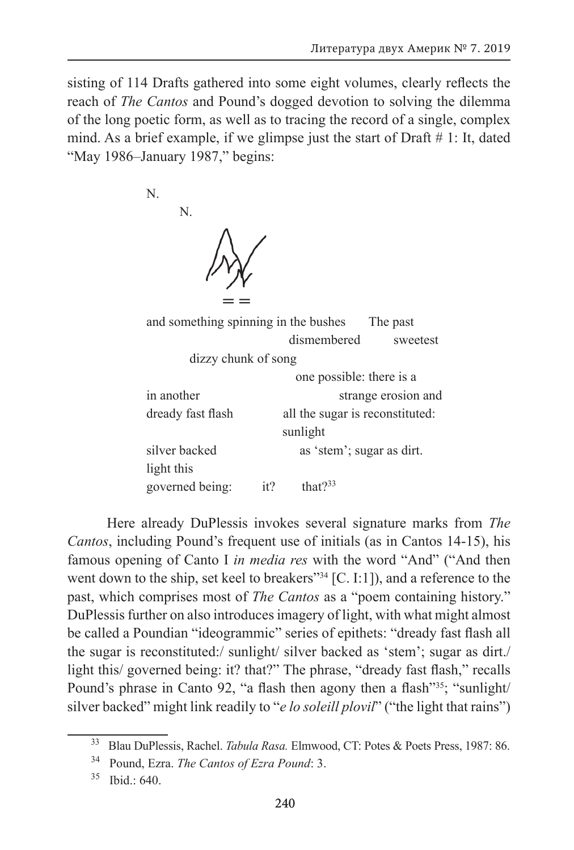sisting of 114 Drafts gathered into some eight volumes, clearly reflects the reach of *The Cantos* and Pound's dogged devotion to solving the dilemma of the long poetic form, as well as to tracing the record of a single, complex mind. As a brief example, if we glimpse just the start of Draft  $# 1$ : It, dated "May 1986–January 1987," begins:

N.

N.



| and something spinning in the bushes<br>The past |                          |                                 |          |
|--------------------------------------------------|--------------------------|---------------------------------|----------|
|                                                  |                          | dismembered                     | sweetest |
| dizzy chunk of song                              |                          |                                 |          |
|                                                  | one possible: there is a |                                 |          |
| in another                                       |                          | strange erosion and             |          |
| dready fast flash                                |                          | all the sugar is reconstituted: |          |
| sunlight                                         |                          |                                 |          |
| silver backed                                    |                          | as 'stem'; sugar as dirt.       |          |
| light this                                       |                          |                                 |          |
| governed being:                                  | it?                      | that $2^{33}$                   |          |

Here already DuPlessis invokes several signature marks from *The Cantos*, including Pound's frequent use of initials (as in Cantos 14-15), his famous opening of Canto I *in media res* with the word "And" ("And then went down to the ship, set keel to breakers"<sup>34</sup> [C. I:1]), and a reference to the past, which comprises most of *The Cantos* as a "poem containing history." DuPlessis further on also introduces imagery of light, with what might almost be called a Poundian "ideogrammic" series of epithets: "dready fast flash all the sugar is reconstituted:/ sunlight/ silver backed as 'stem'; sugar as dirt./ light this/ governed being: it? that?" The phrase, "dready fast flash," recalls Pound's phrase in Canto 92, "a flash then agony then a flash"<sup>35</sup>; "sunlight/ silver backed" might link readily to "*e lo soleill plovil*" ("the light that rains")

<sup>33</sup> Blau DuPlessis, Rachel. *Tabula Rasa.* Elmwood, CT: Potes & Poets Press, 1987: 86.

<sup>34</sup> Pound, Ezra. *The Cantos of Ezra Pound*: 3.

<sup>35</sup> Ibid.: 640.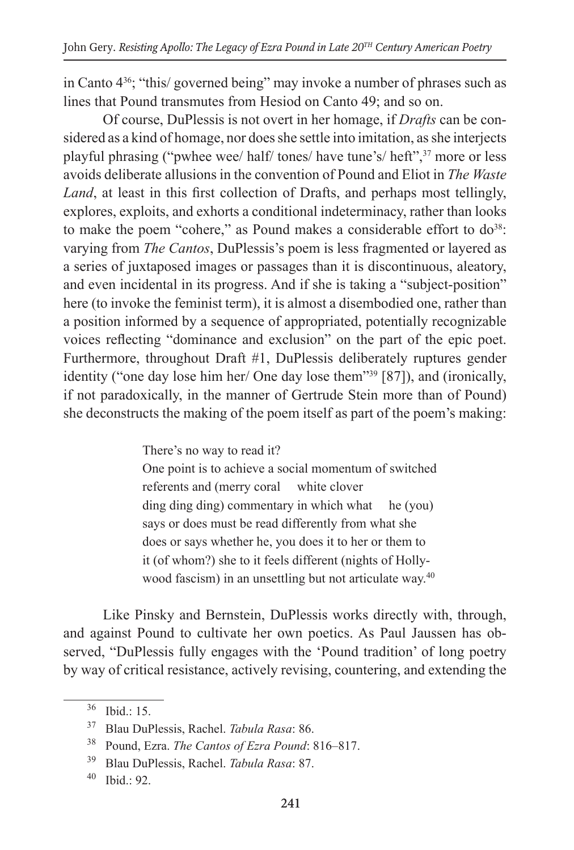in Canto 436; "this/ governed being" may invoke a number of phrases such as lines that Pound transmutes from Hesiod on Canto 49; and so on.

Of course, DuPlessis is not overt in her homage, if *Drafts* can be considered as a kind of homage, nor does she settle into imitation, as she interjects playful phrasing ("pwhee wee/ half/ tones/ have tune's/ heft",37 more or less avoids deliberate allusions in the convention of Pound and Eliot in *The Waste Land*, at least in this first collection of Drafts, and perhaps most tellingly, explores, exploits, and exhorts a conditional indeterminacy, rather than looks to make the poem "cohere," as Pound makes a considerable effort to  $do^{38}$ . varying from *The Cantos*, DuPlessis's poem is less fragmented or layered as a series of juxtaposed images or passages than it is discontinuous, aleatory, and even incidental in its progress. And if she is taking a "subject-position" here (to invoke the feminist term), it is almost a disembodied one, rather than a position informed by a sequence of appropriated, potentially recognizable voices reflecting "dominance and exclusion" on the part of the epic poet. Furthermore, throughout Draft #1, DuPlessis deliberately ruptures gender identity ("one day lose him her/ One day lose them"39 [87]), and (ironically, if not paradoxically, in the manner of Gertrude Stein more than of Pound) she deconstructs the making of the poem itself as part of the poem's making:

> There's no way to read it? One point is to achieve a social momentum of switched referents and (merry coral white clover ding ding ding) commentary in which what he (you) says or does must be read differently from what she does or says whether he, you does it to her or them to it (of whom?) she to it feels different (nights of Hollywood fascism) in an unsettling but not articulate way.<sup>40</sup>

Like Pinsky and Bernstein, DuPlessis works directly with, through, and against Pound to cultivate her own poetics. As Paul Jaussen has observed, "DuPlessis fully engages with the 'Pound tradition' of long poetry by way of critical resistance, actively revising, countering, and extending the

 $36$  Ibid.: 15.

<sup>37</sup> Blau DuPlessis, Rachel. *Tabula Rasa*: 86.

<sup>38</sup> Pound, Ezra. *The Cantos of Ezra Pound*: 816–817.

<sup>39</sup> Blau DuPlessis, Rachel. *Tabula Rasa*: 87.

<sup>40</sup> Ibid.: 92.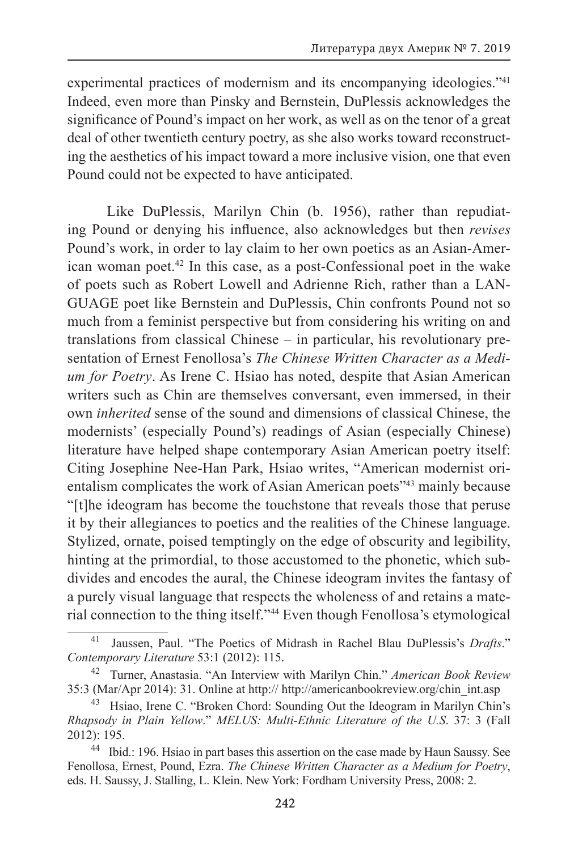experimental practices of modernism and its encompanying ideologies."<sup>41</sup> Indeed, even more than Pinsky and Bernstein, DuPlessis acknowledges the significance of Pound's impact on her work, as well as on the tenor of a great deal of other twentieth century poetry, as she also works toward reconstructing the aesthetics of his impact toward a more inclusive vision, one that even Pound could not be expected to have anticipated.

Like DuPlessis, Marilyn Chin (b. 1956), rather than repudiating Pound or denying his influence, also acknowledges but then *revises* Pound's work, in order to lay claim to her own poetics as an Asian-American woman poet.42 In this case, as a post-Confessional poet in the wake of poets such as Robert Lowell and Adrienne Rich, rather than a LAN-GUAGE poet like Bernstein and DuPlessis, Chin confronts Pound not so much from a feminist perspective but from considering his writing on and translations from classical Chinese – in particular, his revolutionary presentation of Ernest Fenollosa's *The Chinese Written Character as a Medium for Poetry*. As Irene C. Hsiao has noted, despite that Asian American writers such as Chin are themselves conversant, even immersed, in their own *inherited* sense of the sound and dimensions of classical Chinese, the modernists' (especially Pound's) readings of Asian (especially Chinese) literature have helped shape contemporary Asian American poetry itself: Citing Josephine Nee-Han Park, Hsiao writes, "American modernist orientalism complicates the work of Asian American poets<sup>243</sup> mainly because "[t]he ideogram has become the touchstone that reveals those that peruse it by their allegiances to poetics and the realities of the Chinese language. Stylized, ornate, poised temptingly on the edge of obscurity and legibility, hinting at the primordial, to those accustomed to the phonetic, which subdivides and encodes the aural, the Chinese ideogram invites the fantasy of a purely visual language that respects the wholeness of and retains a material connection to the thing itself."44 Even though Fenollosa's etymological

<sup>41</sup> Jaussen, Paul. "The Poetics of Midrash in Rachel Blau DuPlessis's *Drafts*." *Contemporary Literature* 53:1 (2012): 115.

<sup>42</sup> Turner, Anastasia. "An Interview with Marilyn Chin." *American Book Review* 35:3 (Mar/Apr 2014): 31. Online at http:// http://americanbookreview.org/chin\_int.asp

<sup>&</sup>lt;sup>43</sup> Hsiao, Irene C. "Broken Chord: Sounding Out the Ideogram in Marilyn Chin's *Rhapsody in Plain Yellow*." *MELUS: Multi-Ethnic Literature of the U.S*. 37: 3 (Fall 2012): 195.

<sup>&</sup>lt;sup>44</sup> Ibid.: 196. Hsiao in part bases this assertion on the case made by Haun Saussy. See Fenollosa, Ernest, Pound, Ezra. *The Chinese Written Character as a Medium for Poetry*, eds. H. Saussy, J. Stalling, L. Klein. New York: Fordham University Press, 2008: 2.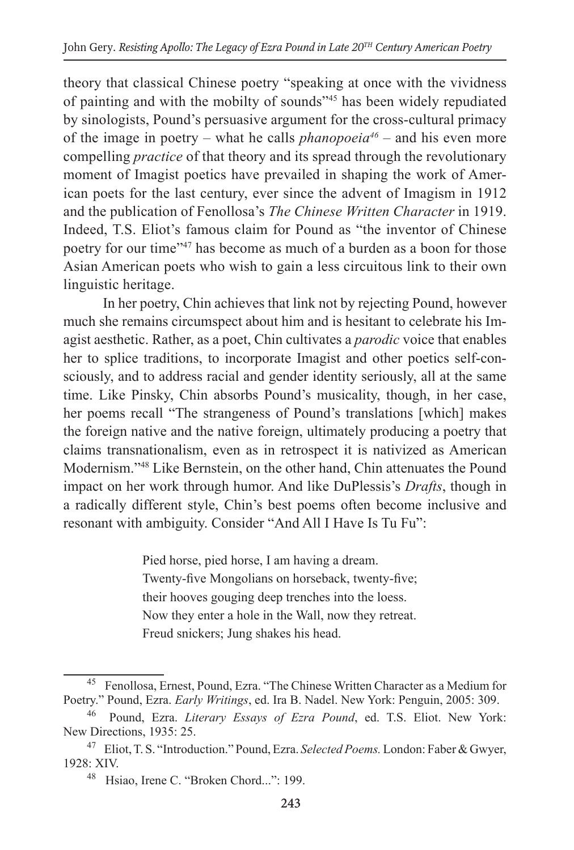theory that classical Chinese poetry "speaking at once with the vividness of painting and with the mobilty of sounds"45 has been widely repudiated by sinologists, Pound's persuasive argument for the cross-cultural primacy of the image in poetry – what he calls *phanopoeia<sup>46</sup>* – and his even more compelling *practice* of that theory and its spread through the revolutionary moment of Imagist poetics have prevailed in shaping the work of American poets for the last century, ever since the advent of Imagism in 1912 and the publication of Fenollosa's *The Chinese Written Character* in 1919. Indeed, T.S. Eliot's famous claim for Pound as "the inventor of Chinese poetry for our time"<sup>47</sup> has become as much of a burden as a boon for those Asian American poets who wish to gain a less circuitous link to their own linguistic heritage.

In her poetry, Chin achieves that link not by rejecting Pound, however much she remains circumspect about him and is hesitant to celebrate his Imagist aesthetic. Rather, as a poet, Chin cultivates a *parodic* voice that enables her to splice traditions, to incorporate Imagist and other poetics self-consciously, and to address racial and gender identity seriously, all at the same time. Like Pinsky, Chin absorbs Pound's musicality, though, in her case, her poems recall "The strangeness of Pound's translations [which] makes the foreign native and the native foreign, ultimately producing a poetry that claims transnationalism, even as in retrospect it is nativized as American Modernism."48 Like Bernstein, on the other hand, Chin attenuates the Pound impact on her work through humor. And like DuPlessis's *Drafts*, though in a radically different style, Chin's best poems often become inclusive and resonant with ambiguity. Consider "And All I Have Is Tu Fu":

> Pied horse, pied horse, I am having a dream. Twenty-five Mongolians on horseback, twenty-five; their hooves gouging deep trenches into the loess. Now they enter a hole in the Wall, now they retreat. Freud snickers; Jung shakes his head.

<sup>&</sup>lt;sup>45</sup> Fenollosa, Ernest, Pound, Ezra. "The Chinese Written Character as a Medium for Poetry." Pound, Ezra. *Early Writings*, ed. Ira B. Nadel. New York: Penguin, 2005: 309.

<sup>&</sup>lt;sup>46</sup> Pound, Ezra. *Literary Essays of Ezra Pound*, ed. T.S. Eliot. New York: New Directions, 1935: 25.

<sup>47</sup> Eliot, T. S. "Introduction." Pound, Ezra. *Selected Poems.* London: Faber & Gwyer, 1928: XIV.

<sup>48</sup> Hsiao, Irene C. "Broken Chord...": 199.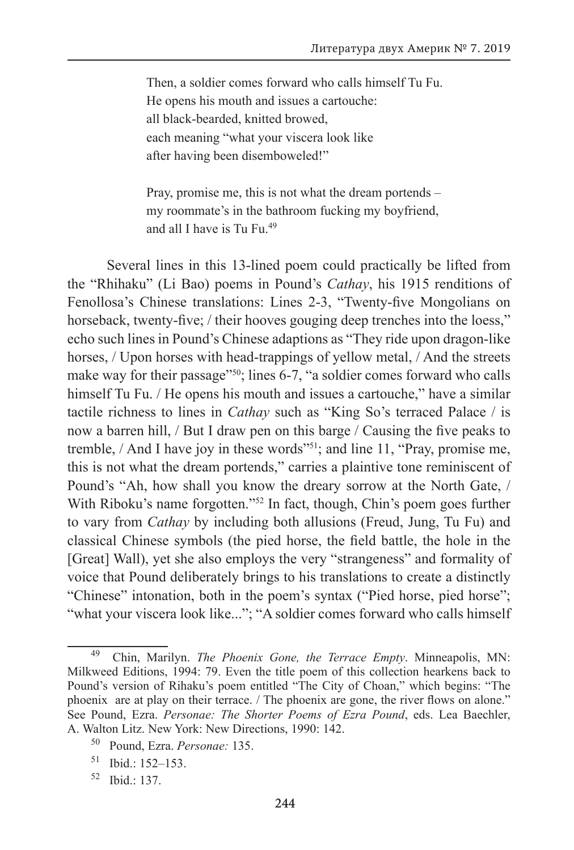Then, a soldier comes forward who calls himself Tu Fu. He opens his mouth and issues a cartouche: all black-bearded, knitted browed, each meaning "what your viscera look like after having been disemboweled!"

Pray, promise me, this is not what the dream portends – my roommate's in the bathroom fucking my boyfriend, and all I have is Tu Fu.<sup>49</sup>

Several lines in this 13-lined poem could practically be lifted from the "Rhihaku" (Li Bao) poems in Pound's *Cathay*, his 1915 renditions of Fenollosa's Chinese translations: Lines 2-3, "Twenty-five Mongolians on horseback, twenty-five; / their hooves gouging deep trenches into the loess," echo such lines in Pound's Chinese adaptions as "They ride upon dragon-like horses, / Upon horses with head-trappings of yellow metal, / And the streets make way for their passage"<sup>50</sup>; lines 6-7, "a soldier comes forward who calls himself Tu Fu. / He opens his mouth and issues a cartouche," have a similar tactile richness to lines in *Cathay* such as "King So's terraced Palace / is now a barren hill, / But I draw pen on this barge / Causing the five peaks to tremble, / And I have joy in these words"51; and line 11, "Pray, promise me, this is not what the dream portends," carries a plaintive tone reminiscent of Pound's "Ah, how shall you know the dreary sorrow at the North Gate, / With Riboku's name forgotten."<sup>52</sup> In fact, though, Chin's poem goes further to vary from *Cathay* by including both allusions (Freud, Jung, Tu Fu) and classical Chinese symbols (the pied horse, the field battle, the hole in the [Great] Wall), yet she also employs the very "strangeness" and formality of voice that Pound deliberately brings to his translations to create a distinctly "Chinese" intonation, both in the poem's syntax ("Pied horse, pied horse"; "what your viscera look like..."; "A soldier comes forward who calls himself

<sup>49</sup> Chin, Marilyn. *The Phoenix Gone, the Terrace Empty*. Minneapolis, MN: Milkweed Editions, 1994: 79. Even the title poem of this collection hearkens back to Pound's version of Rihaku's poem entitled "The City of Choan," which begins: "The phoenix are at play on their terrace. / The phoenix are gone, the river flows on alone." See Pound, Ezra. *Personae: The Shorter Poems of Ezra Pound*, eds. Lea Baechler, A. Walton Litz. New York: New Directions, 1990: 142.

<sup>50</sup> Pound, Ezra. *Personae:* 135.

<sup>51</sup> Ibid.: 152–153.

<sup>52</sup> Ibid.: 137.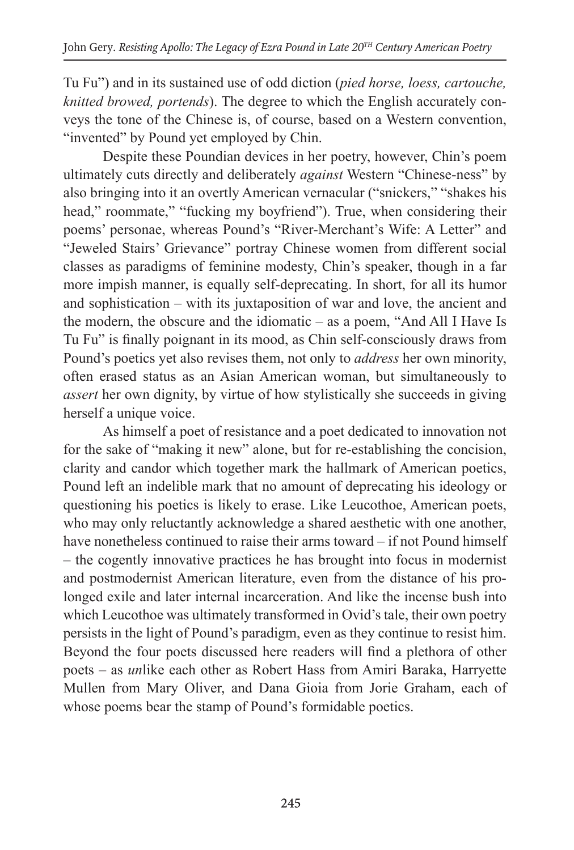Tu Fu") and in its sustained use of odd diction (*pied horse, loess, cartouche, knitted browed, portends*). The degree to which the English accurately conveys the tone of the Chinese is, of course, based on a Western convention, "invented" by Pound yet employed by Chin.

Despite these Poundian devices in her poetry, however, Chin's poem ultimately cuts directly and deliberately *against* Western "Chinese-ness" by also bringing into it an overtly American vernacular ("snickers," "shakes his head," roommate," "fucking my boyfriend"). True, when considering their poems' personae, whereas Pound's "River-Merchant's Wife: A Letter" and "Jeweled Stairs' Grievance" portray Chinese women from different social classes as paradigms of feminine modesty, Chin's speaker, though in a far more impish manner, is equally self-deprecating. In short, for all its humor and sophistication – with its juxtaposition of war and love, the ancient and the modern, the obscure and the idiomatic – as a poem, "And All I Have Is Tu Fu" is finally poignant in its mood, as Chin self-consciously draws from Pound's poetics yet also revises them, not only to *address* her own minority, often erased status as an Asian American woman, but simultaneously to *assert* her own dignity, by virtue of how stylistically she succeeds in giving herself a unique voice.

As himself a poet of resistance and a poet dedicated to innovation not for the sake of "making it new" alone, but for re-establishing the concision, clarity and candor which together mark the hallmark of American poetics, Pound left an indelible mark that no amount of deprecating his ideology or questioning his poetics is likely to erase. Like Leucothoe, American poets, who may only reluctantly acknowledge a shared aesthetic with one another, have nonetheless continued to raise their arms toward – if not Pound himself – the cogently innovative practices he has brought into focus in modernist and postmodernist American literature, even from the distance of his prolonged exile and later internal incarceration. And like the incense bush into which Leucothoe was ultimately transformed in Ovid's tale, their own poetry persists in the light of Pound's paradigm, even as they continue to resist him. Beyond the four poets discussed here readers will find a plethora of other poets – as *un*like each other as Robert Hass from Amiri Baraka, Harryette Mullen from Mary Oliver, and Dana Gioia from Jorie Graham, each of whose poems bear the stamp of Pound's formidable poetics.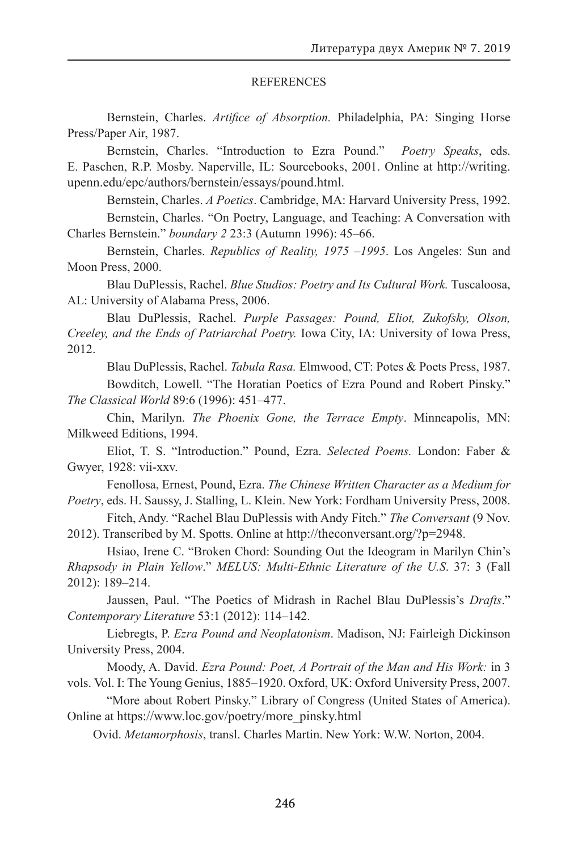#### REFERENCES

Bernstein, Charles. *Artifice of Absorption.* Philadelphia, PA: Singing Horse Press/Paper Air, 1987.

Bernstein, Charles. "Introduction to Ezra Pound." *Poetry Speaks*, eds. E. Paschen, R.P. Mosby. Naperville, IL: Sourcebooks, 2001. Online at http://writing. upenn.edu/epc/authors/bernstein/essays/pound.html.

Bernstein, Charles. *A Poetics*. Cambridge, MA: Harvard University Press, 1992.

Bernstein, Charles. "On Poetry, Language, and Teaching: A Conversation with Charles Bernstein." *boundary 2* 23:3 (Autumn 1996): 45–66.

Bernstein, Charles. *Republics of Reality, 1975 –1995*. Los Angeles: Sun and Moon Press, 2000.

Blau DuPlessis, Rachel. *Blue Studios: Poetry and Its Cultural Work.* Tuscaloosa, AL: University of Alabama Press, 2006.

Blau DuPlessis, Rachel. *Purple Passages: Pound, Eliot, Zukofsky, Olson, Creeley, and the Ends of Patriarchal Poetry.* Iowa City, IA: University of Iowa Press, 2012.

Blau DuPlessis, Rachel. *Tabula Rasa.* Elmwood, CT: Potes & Poets Press, 1987. Bowditch, Lowell. "The Horatian Poetics of Ezra Pound and Robert Pinsky."

*The Classical World* 89:6 (1996): 451–477.

Chin, Marilyn. *The Phoenix Gone, the Terrace Empty*. Minneapolis, MN: Milkweed Editions, 1994.

Eliot, T. S. "Introduction." Pound, Ezra. *Selected Poems.* London: Faber & Gwyer, 1928: vii-xxv.

Fenollosa, Ernest, Pound, Ezra. *The Chinese Written Character as a Medium for Poetry*, eds. H. Saussy, J. Stalling, L. Klein. New York: Fordham University Press, 2008.

Fitch, Andy. "Rachel Blau DuPlessis with Andy Fitch." *The Conversant* (9 Nov. 2012). Transcribed by M. Spotts. Online at http://theconversant.org/?p=2948.

Hsiao, Irene C. "Broken Chord: Sounding Out the Ideogram in Marilyn Chin's *Rhapsody in Plain Yellow*." *MELUS: Multi-Ethnic Literature of the U.S*. 37: 3 (Fall 2012): 189–214.

Jaussen, Paul. "The Poetics of Midrash in Rachel Blau DuPlessis's *Drafts*." *Contemporary Literature* 53:1 (2012): 114–142.

Liebregts, P. *Ezra Pound and Neoplatonism*. Madison, NJ: Fairleigh Dickinson University Press, 2004.

Moody, A. David. *Ezra Pound: Poet, A Portrait of the Man and His Work:* in 3 vols. Vol. I: The Young Genius, 1885–1920. Oxford, UK: Oxford University Press, 2007.

"More about Robert Pinsky." Library of Congress (United States of America). Online at https://www.loc.gov/poetry/more\_pinsky.html

Ovid. *Metamorphosis*, transl. Charles Martin. New York: W.W. Norton, 2004.